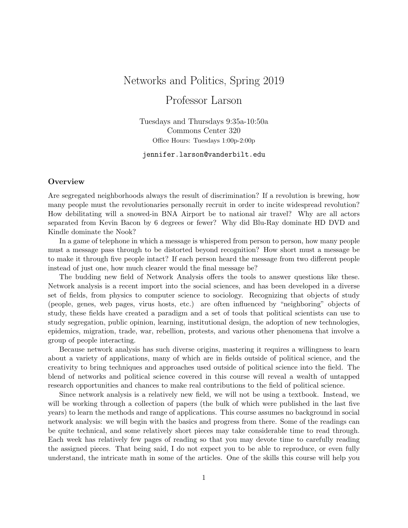# Networks and Politics, Spring 2019

# Professor Larson

Tuesdays and Thursdays 9:35a-10:50a Commons Center 320 Office Hours: Tuesdays 1:00p-2:00p

jennifer.larson@vanderbilt.edu

# **Overview**

Are segregated neighborhoods always the result of discrimination? If a revolution is brewing, how many people must the revolutionaries personally recruit in order to incite widespread revolution? How debilitating will a snowed-in BNA Airport be to national air travel? Why are all actors separated from Kevin Bacon by 6 degrees or fewer? Why did Blu-Ray dominate HD DVD and Kindle dominate the Nook?

In a game of telephone in which a message is whispered from person to person, how many people must a message pass through to be distorted beyond recognition? How short must a message be to make it through five people intact? If each person heard the message from two different people instead of just one, how much clearer would the final message be?

The budding new field of Network Analysis offers the tools to answer questions like these. Network analysis is a recent import into the social sciences, and has been developed in a diverse set of fields, from physics to computer science to sociology. Recognizing that objects of study (people, genes, web pages, virus hosts, etc.) are often influenced by "neighboring" objects of study, these fields have created a paradigm and a set of tools that political scientists can use to study segregation, public opinion, learning, institutional design, the adoption of new technologies, epidemics, migration, trade, war, rebellion, protests, and various other phenomena that involve a group of people interacting.

Because network analysis has such diverse origins, mastering it requires a willingness to learn about a variety of applications, many of which are in fields outside of political science, and the creativity to bring techniques and approaches used outside of political science into the field. The blend of networks and political science covered in this course will reveal a wealth of untapped research opportunities and chances to make real contributions to the field of political science.

Since network analysis is a relatively new field, we will not be using a textbook. Instead, we will be working through a collection of papers (the bulk of which were published in the last five years) to learn the methods and range of applications. This course assumes no background in social network analysis: we will begin with the basics and progress from there. Some of the readings can be quite technical, and some relatively short pieces may take considerable time to read through. Each week has relatively few pages of reading so that you may devote time to carefully reading the assigned pieces. That being said, I do not expect you to be able to reproduce, or even fully understand, the intricate math in some of the articles. One of the skills this course will help you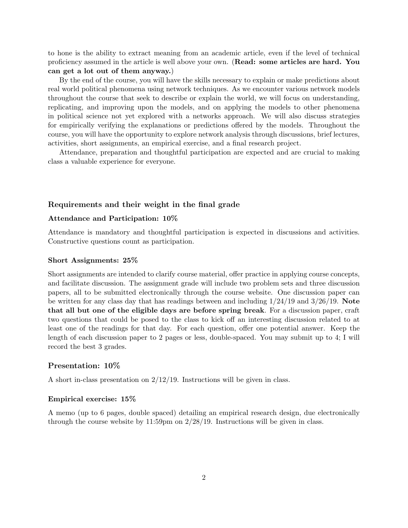to hone is the ability to extract meaning from an academic article, even if the level of technical proficiency assumed in the article is well above your own. (Read: some articles are hard. You can get a lot out of them anyway.)

By the end of the course, you will have the skills necessary to explain or make predictions about real world political phenomena using network techniques. As we encounter various network models throughout the course that seek to describe or explain the world, we will focus on understanding, replicating, and improving upon the models, and on applying the models to other phenomena in political science not yet explored with a networks approach. We will also discuss strategies for empirically verifying the explanations or predictions offered by the models. Throughout the course, you will have the opportunity to explore network analysis through discussions, brief lectures, activities, short assignments, an empirical exercise, and a final research project.

Attendance, preparation and thoughtful participation are expected and are crucial to making class a valuable experience for everyone.

### Requirements and their weight in the final grade

#### Attendance and Participation: 10%

Attendance is mandatory and thoughtful participation is expected in discussions and activities. Constructive questions count as participation.

#### Short Assignments: 25%

Short assignments are intended to clarify course material, offer practice in applying course concepts, and facilitate discussion. The assignment grade will include two problem sets and three discussion papers, all to be submitted electronically through the course website. One discussion paper can be written for any class day that has readings between and including  $1/24/19$  and  $3/26/19$ . Note that all but one of the eligible days are before spring break. For a discussion paper, craft two questions that could be posed to the class to kick off an interesting discussion related to at least one of the readings for that day. For each question, offer one potential answer. Keep the length of each discussion paper to 2 pages or less, double-spaced. You may submit up to 4; I will record the best 3 grades.

#### Presentation: 10%

A short in-class presentation on  $2/12/19$ . Instructions will be given in class.

#### Empirical exercise: 15%

A memo (up to 6 pages, double spaced) detailing an empirical research design, due electronically through the course website by  $11:59 \text{pm}$  on  $2/28/19$ . Instructions will be given in class.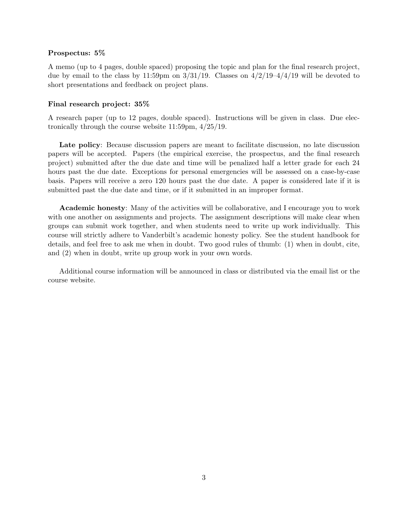# Prospectus: 5%

A memo (up to 4 pages, double spaced) proposing the topic and plan for the final research project, due by email to the class by 11:59pm on  $3/31/19$ . Classes on  $4/2/19-4/4/19$  will be devoted to short presentations and feedback on project plans.

#### Final research project: 35%

A research paper (up to 12 pages, double spaced). Instructions will be given in class. Due electronically through the course website 11:59pm, 4/25/19.

Late policy: Because discussion papers are meant to facilitate discussion, no late discussion papers will be accepted. Papers (the empirical exercise, the prospectus, and the final research project) submitted after the due date and time will be penalized half a letter grade for each 24 hours past the due date. Exceptions for personal emergencies will be assessed on a case-by-case basis. Papers will receive a zero 120 hours past the due date. A paper is considered late if it is submitted past the due date and time, or if it submitted in an improper format.

Academic honesty: Many of the activities will be collaborative, and I encourage you to work with one another on assignments and projects. The assignment descriptions will make clear when groups can submit work together, and when students need to write up work individually. This course will strictly adhere to Vanderbilt's academic honesty policy. See the student handbook for details, and feel free to ask me when in doubt. Two good rules of thumb: (1) when in doubt, cite, and (2) when in doubt, write up group work in your own words.

Additional course information will be announced in class or distributed via the email list or the course website.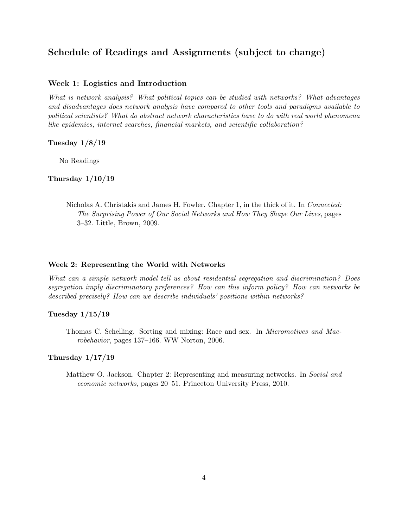# Schedule of Readings and Assignments (subject to change)

# Week 1: Logistics and Introduction

What is network analysis? What political topics can be studied with networks? What advantages and disadvantages does network analysis have compared to other tools and paradigms available to political scientists? What do abstract network characteristics have to do with real world phenomena like epidemics, internet searches, financial markets, and scientific collaboration?

## Tuesday 1/8/19

No Readings

# Thursday 1/10/19

Nicholas A. Christakis and James H. Fowler. Chapter 1, in the thick of it. In Connected: The Surprising Power of Our Social Networks and How They Shape Our Lives, pages 3–32. Little, Brown, 2009.

### Week 2: Representing the World with Networks

What can a simple network model tell us about residential segregation and discrimination? Does segregation imply discriminatory preferences? How can this inform policy? How can networks be described precisely? How can we describe individuals' positions within networks?

### Tuesday 1/15/19

Thomas C. Schelling. Sorting and mixing: Race and sex. In Micromotives and Macrobehavior, pages 137–166. WW Norton, 2006.

#### Thursday 1/17/19

Matthew O. Jackson. Chapter 2: Representing and measuring networks. In Social and economic networks, pages 20–51. Princeton University Press, 2010.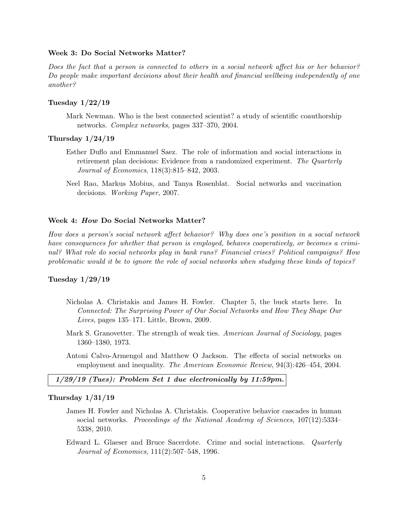#### Week 3: Do Social Networks Matter?

Does the fact that a person is connected to others in a social network affect his or her behavior? Do people make important decisions about their health and financial wellbeing independently of one another?

# Tuesday 1/22/19

Mark Newman. Who is the best connected scientist? a study of scientific coauthorship networks. Complex networks, pages 337–370, 2004.

# Thursday 1/24/19

- Esther Duflo and Emmanuel Saez. The role of information and social interactions in retirement plan decisions: Evidence from a randomized experiment. The Quarterly Journal of Economics, 118(3):815–842, 2003.
- Neel Rao, Markus Mobius, and Tanya Rosenblat. Social networks and vaccination decisions. Working Paper, 2007.

#### Week 4: How Do Social Networks Matter?

How does a person's social network affect behavior? Why does one's position in a social network have consequences for whether that person is employed, behaves cooperatively, or becomes a criminal? What role do social networks play in bank runs? Financial crises? Political campaigns? How problematic would it be to ignore the role of social networks when studying these kinds of topics?

#### Tuesday 1/29/19

- Nicholas A. Christakis and James H. Fowler. Chapter 5, the buck starts here. In Connected: The Surprising Power of Our Social Networks and How They Shape Our Lives, pages 135–171. Little, Brown, 2009.
- Mark S. Granovetter. The strength of weak ties. American Journal of Sociology, pages 1360–1380, 1973.
- Antoni Calvo-Armengol and Matthew O Jackson. The effects of social networks on employment and inequality. The American Economic Review, 94(3):426–454, 2004.

#### 1/29/19 (Tues): Problem Set 1 due electronically by 11:59pm.

#### Thursday 1/31/19

- James H. Fowler and Nicholas A. Christakis. Cooperative behavior cascades in human social networks. Proceedings of the National Academy of Sciences, 107(12):5334– 5338, 2010.
- Edward L. Glaeser and Bruce Sacerdote. Crime and social interactions. Quarterly Journal of Economics, 111(2):507–548, 1996.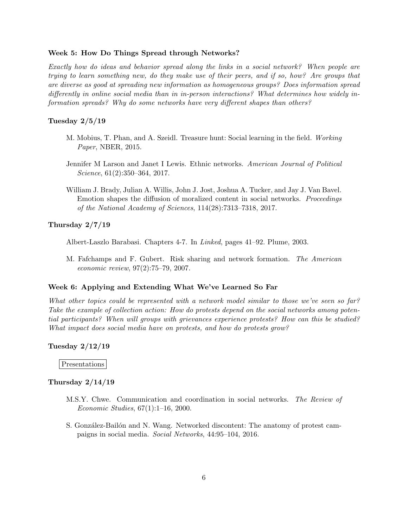#### Week 5: How Do Things Spread through Networks?

Exactly how do ideas and behavior spread along the links in a social network? When people are trying to learn something new, do they make use of their peers, and if so, how? Are groups that are diverse as good at spreading new information as homogeneous groups? Does information spread differently in online social media than in in-person interactions? What determines how widely information spreads? Why do some networks have very different shapes than others?

# Tuesday 2/5/19

- M. Mobius, T. Phan, and A. Szeidl. Treasure hunt: Social learning in the field. Working Paper, NBER, 2015.
- Jennifer M Larson and Janet I Lewis. Ethnic networks. American Journal of Political Science, 61(2):350–364, 2017.
- William J. Brady, Julian A. Willis, John J. Jost, Joshua A. Tucker, and Jay J. Van Bavel. Emotion shapes the diffusion of moralized content in social networks. Proceedings of the National Academy of Sciences, 114(28):7313–7318, 2017.

#### Thursday 2/7/19

Albert-Laszlo Barabasi. Chapters 4-7. In Linked, pages 41–92. Plume, 2003.

M. Fafchamps and F. Gubert. Risk sharing and network formation. The American economic review, 97(2):75–79, 2007.

#### Week 6: Applying and Extending What We've Learned So Far

What other topics could be represented with a network model similar to those we've seen so far? Take the example of collection action: How do protests depend on the social networks among potential participants? When will groups with grievances experience protests? How can this be studied? What impact does social media have on protests, and how do protests grow?

#### Tuesday 2/12/19

Presentations

#### Thursday 2/14/19

- M.S.Y. Chwe. Communication and coordination in social networks. The Review of Economic Studies, 67(1):1–16, 2000.
- S. González-Bailón and N. Wang. Networked discontent: The anatomy of protest campaigns in social media. Social Networks, 44:95–104, 2016.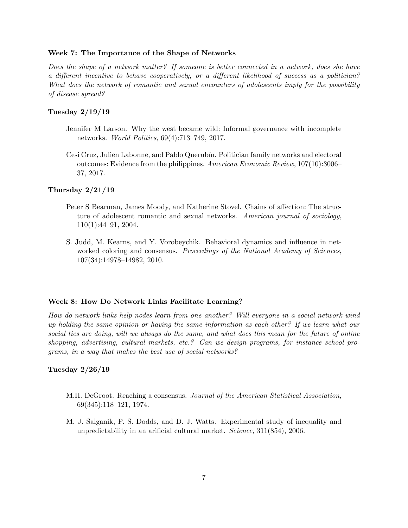#### Week 7: The Importance of the Shape of Networks

Does the shape of a network matter? If someone is better connected in a network, does she have a different incentive to behave cooperatively, or a different likelihood of success as a politician? What does the network of romantic and sexual encounters of adolescents imply for the possibility of disease spread?

# Tuesday 2/19/19

- Jennifer M Larson. Why the west became wild: Informal governance with incomplete networks. World Politics, 69(4):713–749, 2017.
- Cesi Cruz, Julien Labonne, and Pablo Querub´ın. Politician family networks and electoral outcomes: Evidence from the philippines. American Economic Review, 107(10):3006– 37, 2017.

# Thursday 2/21/19

- Peter S Bearman, James Moody, and Katherine Stovel. Chains of affection: The structure of adolescent romantic and sexual networks. American journal of sociology, 110(1):44–91, 2004.
- S. Judd, M. Kearns, and Y. Vorobeychik. Behavioral dynamics and influence in networked coloring and consensus. *Proceedings of the National Academy of Sciences*, 107(34):14978–14982, 2010.

# Week 8: How Do Network Links Facilitate Learning?

How do network links help nodes learn from one another? Will everyone in a social network wind up holding the same opinion or having the same information as each other? If we learn what our social ties are doing, will we always do the same, and what does this mean for the future of online shopping, advertising, cultural markets, etc.? Can we design programs, for instance school programs, in a way that makes the best use of social networks?

# Tuesday 2/26/19

- M.H. DeGroot. Reaching a consensus. Journal of the American Statistical Association, 69(345):118–121, 1974.
- M. J. Salganik, P. S. Dodds, and D. J. Watts. Experimental study of inequality and unpredictability in an arificial cultural market. *Science*,  $311(854)$ , 2006.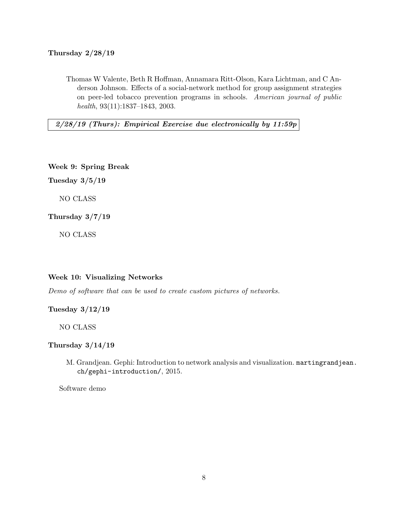# Thursday 2/28/19

Thomas W Valente, Beth R Hoffman, Annamara Ritt-Olson, Kara Lichtman, and C Anderson Johnson. Effects of a social-network method for group assignment strategies on peer-led tobacco prevention programs in schools. American journal of public health, 93(11):1837–1843, 2003.

 $2/28/19$  (Thurs): Empirical Exercise due electronically by 11:59p

Week 9: Spring Break

Tuesday 3/5/19

NO CLASS

Thursday 3/7/19

NO CLASS

#### Week 10: Visualizing Networks

Demo of software that can be used to create custom pictures of networks.

Tuesday 3/12/19

NO CLASS

Thursday 3/14/19

M. Grandjean. Gephi: Introduction to network analysis and visualization. martingrandjean. ch/gephi-introduction/, 2015.

Software demo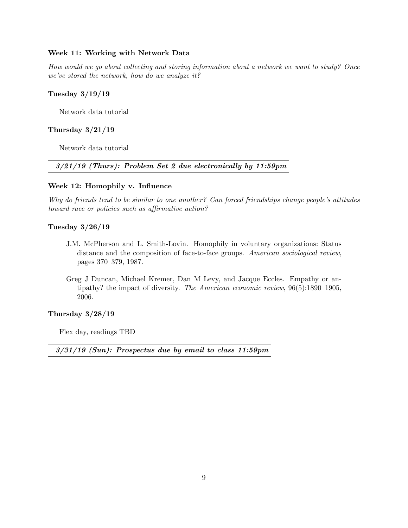# Week 11: Working with Network Data

How would we go about collecting and storing information about a network we want to study? Once we've stored the network, how do we analyze it?

### Tuesday 3/19/19

Network data tutorial

# Thursday 3/21/19

Network data tutorial

3/21/19 (Thurs): Problem Set 2 due electronically by 11:59pm

#### Week 12: Homophily v. Influence

Why do friends tend to be similar to one another? Can forced friendships change people's attitudes toward race or policies such as affirmative action?

#### Tuesday 3/26/19

- J.M. McPherson and L. Smith-Lovin. Homophily in voluntary organizations: Status distance and the composition of face-to-face groups. American sociological review, pages 370–379, 1987.
- Greg J Duncan, Michael Kremer, Dan M Levy, and Jacque Eccles. Empathy or antipathy? the impact of diversity. The American economic review, 96(5):1890–1905, 2006.

#### Thursday 3/28/19

Flex day, readings TBD

3/31/19 (Sun): Prospectus due by email to class 11:59pm